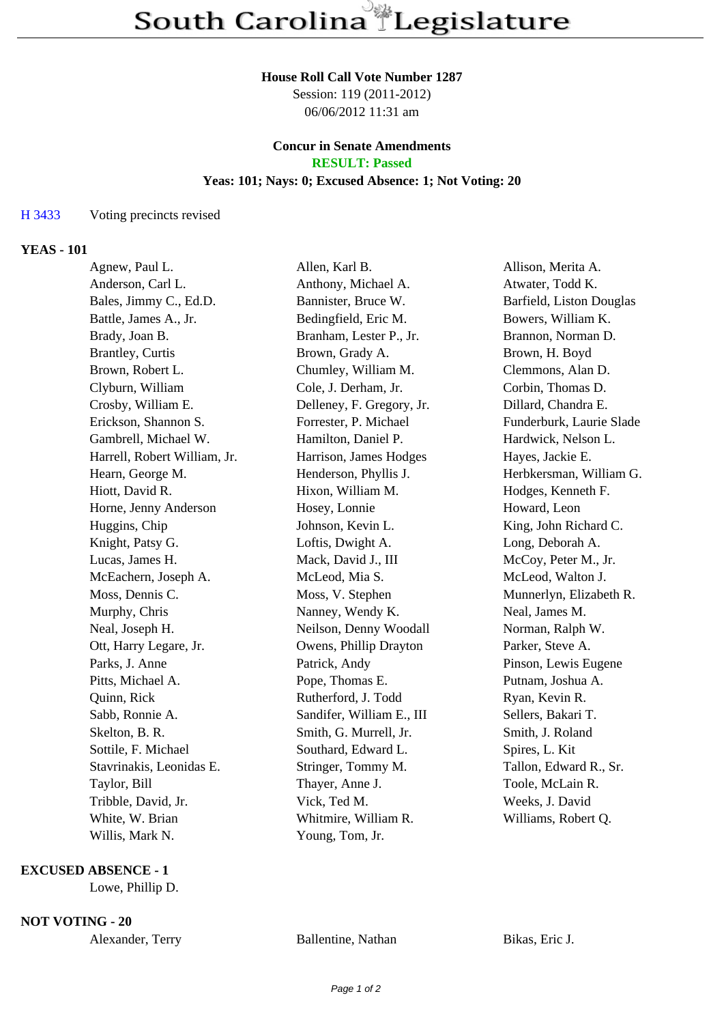#### **House Roll Call Vote Number 1287**

Session: 119 (2011-2012) 06/06/2012 11:31 am

#### **Concur in Senate Amendments RESULT: Passed**

# **Yeas: 101; Nays: 0; Excused Absence: 1; Not Voting: 20**

## H 3433 Voting precincts revised

## **YEAS - 101**

| Agnew, Paul L.               | Allen, Karl B.            | Allison, Merita A.       |
|------------------------------|---------------------------|--------------------------|
| Anderson, Carl L.            | Anthony, Michael A.       | Atwater, Todd K.         |
| Bales, Jimmy C., Ed.D.       | Bannister, Bruce W.       | Barfield, Liston Douglas |
| Battle, James A., Jr.        | Bedingfield, Eric M.      | Bowers, William K.       |
| Brady, Joan B.               | Branham, Lester P., Jr.   | Brannon, Norman D.       |
| <b>Brantley</b> , Curtis     | Brown, Grady A.           | Brown, H. Boyd           |
| Brown, Robert L.             | Chumley, William M.       | Clemmons, Alan D.        |
| Clyburn, William             | Cole, J. Derham, Jr.      | Corbin, Thomas D.        |
| Crosby, William E.           | Delleney, F. Gregory, Jr. | Dillard, Chandra E.      |
| Erickson, Shannon S.         | Forrester, P. Michael     | Funderburk, Laurie Slade |
| Gambrell, Michael W.         | Hamilton, Daniel P.       | Hardwick, Nelson L.      |
| Harrell, Robert William, Jr. | Harrison, James Hodges    | Hayes, Jackie E.         |
| Hearn, George M.             | Henderson, Phyllis J.     | Herbkersman, William G.  |
| Hiott, David R.              | Hixon, William M.         | Hodges, Kenneth F.       |
| Horne, Jenny Anderson        | Hosey, Lonnie             | Howard, Leon             |
| Huggins, Chip                | Johnson, Kevin L.         | King, John Richard C.    |
| Knight, Patsy G.             | Loftis, Dwight A.         | Long, Deborah A.         |
| Lucas, James H.              | Mack, David J., III       | McCoy, Peter M., Jr.     |
| McEachern, Joseph A.         | McLeod, Mia S.            | McLeod, Walton J.        |
| Moss, Dennis C.              | Moss, V. Stephen          | Munnerlyn, Elizabeth R.  |
| Murphy, Chris                | Nanney, Wendy K.          | Neal, James M.           |
| Neal, Joseph H.              | Neilson, Denny Woodall    | Norman, Ralph W.         |
| Ott, Harry Legare, Jr.       | Owens, Phillip Drayton    | Parker, Steve A.         |
| Parks, J. Anne               | Patrick, Andy             | Pinson, Lewis Eugene     |
| Pitts, Michael A.            | Pope, Thomas E.           | Putnam, Joshua A.        |
| Quinn, Rick                  | Rutherford, J. Todd       | Ryan, Kevin R.           |
| Sabb, Ronnie A.              | Sandifer, William E., III | Sellers, Bakari T.       |
| Skelton, B. R.               | Smith, G. Murrell, Jr.    | Smith, J. Roland         |
| Sottile, F. Michael          | Southard, Edward L.       | Spires, L. Kit           |
| Stavrinakis, Leonidas E.     | Stringer, Tommy M.        | Tallon, Edward R., Sr.   |
| Taylor, Bill                 | Thayer, Anne J.           | Toole, McLain R.         |
| Tribble, David, Jr.          | Vick, Ted M.              | Weeks, J. David          |
| White, W. Brian              | Whitmire, William R.      | Williams, Robert Q.      |
| Willis, Mark N.              | Young, Tom, Jr.           |                          |

## **EXCUSED ABSENCE - 1**

Lowe, Phillip D.

### **NOT VOTING - 20**

Alexander, Terry Ballentine, Nathan Bikas, Eric J.